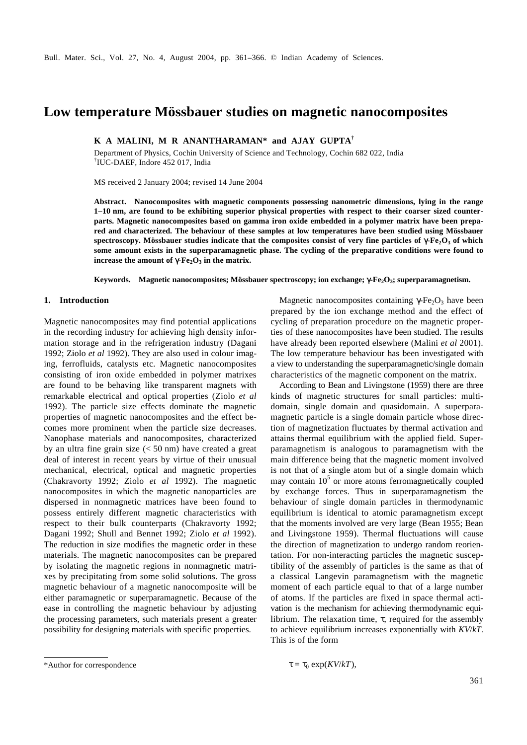# **Low temperature Mössbauer studies on magnetic nanocomposites**

**K A MALINI, M R ANANTHARAMAN\* and AJAY GUPTA†**

Department of Physics, Cochin University of Science and Technology, Cochin 682 022, India † IUC-DAEF, Indore 452 017, India

MS received 2 January 2004; revised 14 June 2004

**Abstract. Nanocomposites with magnetic components possessing nanometric dimensions, lying in the range 1–10 nm, are found to be exhibiting superior physical properties with respect to their coarser sized counterparts. Magnetic nanocomposites based on gamma iron oxide embedded in a polymer matrix have been prepared and characterized. The behaviour of these samples at low temperatures have been studied using Mössbauer spectroscopy. Mössbauer studies indicate that the composites consist of very fine particles of** *g***-Fe2O<sup>3</sup> of which some amount exists in the superparamagnetic phase. The cycling of the preparative conditions were found to**  $i$  **increase the amount of**  $g$  $Fe_2O_3$  **in the matrix.** 

**Keywords. Magnetic nanocomposites; Mössbauer spectroscopy; ion exchange;** *g***-Fe2O<sup>3</sup> ; superparamagnetism.**

## **1. Introduction**

Magnetic nanocomposites may find potential applications in the recording industry for achieving high density information storage and in the refrigeration industry (Dagani 1992; Ziolo *et al* 1992). They are also used in colour imaging, ferrofluids, catalysts etc. Magnetic nanocomposites consisting of iron oxide embedded in polymer matrixes are found to be behaving like transparent magnets with remarkable electrical and optical properties (Ziolo *et al* 1992). The particle size effects dominate the magnetic properties of magnetic nanocomposites and the effect becomes more prominent when the particle size decreases. Nanophase materials and nanocomposites, characterized by an ultra fine grain size  $(< 50$  nm) have created a great deal of interest in recent years by virtue of their unusual mechanical, electrical, optical and magnetic properties (Chakravorty 1992; Ziolo *et al* 1992). The magnetic nanocomposites in which the magnetic nanoparticles are dispersed in nonmagnetic matrices have been found to possess entirely different magnetic characteristics with respect to their bulk counterparts (Chakravorty 1992; Dagani 1992; Shull and Bennet 1992; Ziolo *et al* 1992). The reduction in size modifies the magnetic order in these materials. The magnetic nanocomposites can be prepared by isolating the magnetic regions in nonmagnetic matrixes by precipitating from some solid solutions. The gross magnetic behaviour of a magnetic nanocomposite will be either paramagnetic or superparamagnetic. Because of the ease in controlling the magnetic behaviour by adjusting the processing parameters, such materials present a greater possibility for designing materials with specific properties.

Magnetic nanocomposites containing  $gF_1F_2O_3$  have been prepared by the ion exchange method and the effect of cycling of preparation procedure on the magnetic properties of these nanocomposites have been studied. The results have already been reported elsewhere (Malini *et al* 2001). The low temperature behaviour has been investigated with a view to understanding the superparamagnetic/single domain characteristics of the magnetic component on the matrix.

According to Bean and Livingstone (1959) there are three kinds of magnetic structures for small particles: multidomain, single domain and quasidomain. A superparamagnetic particle is a single domain particle whose direction of magnetization fluctuates by thermal activation and attains thermal equilibrium with the applied field. Superparamagnetism is analogous to paramagnetism with the main difference being that the magnetic moment involved is not that of a single atom but of a single domain which may contain  $10<sup>5</sup>$  or more atoms ferromagnetically coupled by exchange forces. Thus in superparamagnetism the behaviour of single domain particles in thermodynamic equilibrium is identical to atomic paramagnetism except that the moments involved are very large (Bean 1955; Bean and Livingstone 1959). Thermal fluctuations will cause the direction of magnetization to undergo random reorientation. For non-interacting particles the magnetic susceptibility of the assembly of particles is the same as that of a classical Langevin paramagnetism with the magnetic moment of each particle equal to that of a large number of atoms. If the particles are fixed in space thermal activation is the mechanism for achieving thermodynamic equilibrium. The relaxation time, *t*, required for the assembly to achieve equilibrium increases exponentially with *KV*/*kT*. This is of the form

$$
\mathbf{t} = \mathbf{t}_0 \exp(KV/kT),
$$

 $*$ Author for correspondence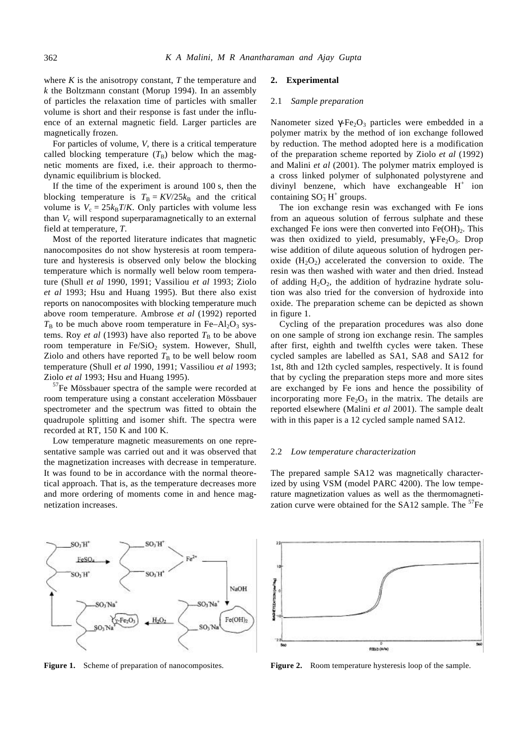where  $K$  is the anisotropy constant,  $T$  the temperature and *k* the Boltzmann constant (Morup 1994). In an assembly of particles the relaxation time of particles with smaller volume is short and their response is fast under the influence of an external magnetic field. Larger particles are magnetically frozen.

For particles of volume, *V*, there is a critical temperature called blocking temperature  $(T_B)$  below which the magnetic moments are fixed, i.e. their approach to thermodynamic equilibrium is blocked.

If the time of the experiment is around 100 s, then the blocking temperature is  $T_B = KV/25k_B$  and the critical volume is  $V_c = 25k_B T/K$ . Only particles with volume less than  $V_c$  will respond superparamagnetically to an external field at temperature, *T*.

Most of the reported literature indicates that magnetic nanocomposites do not show hysteresis at room temperature and hysteresis is observed only below the blocking temperature which is normally well below room temperature (Shull *et al* 1990, 1991; Vassiliou *et al* 1993; Ziolo *et al* 1993; Hsu and Huang 1995). But there also exist reports on nanocomposites with blocking temperature much above room temperature. Ambrose *et al* (1992) reported  $T<sub>B</sub>$  to be much above room temperature in Fe–Al<sub>2</sub>O<sub>3</sub> systems. Roy *et al* (1993) have also reported  $T<sub>B</sub>$  to be above room temperature in  $Fe/SiO<sub>2</sub>$  system. However, Shull, Ziolo and others have reported  $T<sub>B</sub>$  to be well below room temperature (Shull *et al* 1990, 1991; Vassiliou *et al* 1993; Ziolo *et al* 1993; Hsu and Huang 1995).

<sup>57</sup>Fe Mössbauer spectra of the sample were recorded at room temperature using a constant acceleration Mössbauer spectrometer and the spectrum was fitted to obtain the quadrupole splitting and isomer shift. The spectra were recorded at RT, 150 K and 100 K.

Low temperature magnetic measurements on one representative sample was carried out and it was observed that the magnetization increases with decrease in temperature. It was found to be in accordance with the normal theoretical approach. That is, as the temperature decreases more and more ordering of moments come in and hence magnetization increases.

# **2. Experimental**

#### 2.1 *Sample preparation*

Nanometer sized  $gF_{\epsilon_2}O_3$  particles were embedded in a polymer matrix by the method of ion exchange followed by reduction. The method adopted here is a modification of the preparation scheme reported by Ziolo *et al* (1992) and Malini *et al* (2001). The polymer matrix employed is a cross linked polymer of sulphonated polystyrene and divinyl benzene, which have exchangeable  $H^+$  ion containing  $SO_3^-H^+$  groups.

The ion exchange resin was exchanged with Fe ions from an aqueous solution of ferrous sulphate and these exchanged Fe ions were then converted into  $Fe(OH)_{2}$ . This was then oxidized to yield, presumably,  $g\text{Fe}_2\text{O}_3$ . Drop wise addition of dilute aqueous solution of hydrogen peroxide  $(H<sub>2</sub>O<sub>2</sub>)$  accelerated the conversion to oxide. The resin was then washed with water and then dried. Instead of adding  $H_2O_2$ , the addition of hydrazine hydrate solution was also tried for the conversion of hydroxide into oxide. The preparation scheme can be depicted as shown in figure 1.

Cycling of the preparation procedures was also done on one sample of strong ion exchange resin. The samples after first, eighth and twelfth cycles were taken. These cycled samples are labelled as SA1, SA8 and SA12 for 1st, 8th and 12th cycled samples, respectively. It is found that by cycling the preparation steps more and more sites are exchanged by Fe ions and hence the possibility of incorporating more  $Fe<sub>2</sub>O<sub>3</sub>$  in the matrix. The details are reported elsewhere (Malini *et al* 2001). The sample dealt with in this paper is a 12 cycled sample named SA12.

## 2.2 *Low temperature characterization*

The prepared sample SA12 was magnetically characterized by using VSM (model PARC 4200). The low temperature magnetization values as well as the thermomagnetization curve were obtained for the  $SA12$  sample. The  ${}^{57}Fe$ 

 $SO<sub>i</sub>H$ FeSO. SO<sub>3</sub>H SO<sub>2</sub>H NaOH SO<sub>3</sub>Na<sup>\*</sup> SO<sub>1</sub>Na<sup>®</sup>  $Fe(OH)<sub>2</sub>$ SO.



**Figure 1.** Scheme of preparation of nanocomposites. **Figure 2.** Room temperature hysteresis loop of the sample.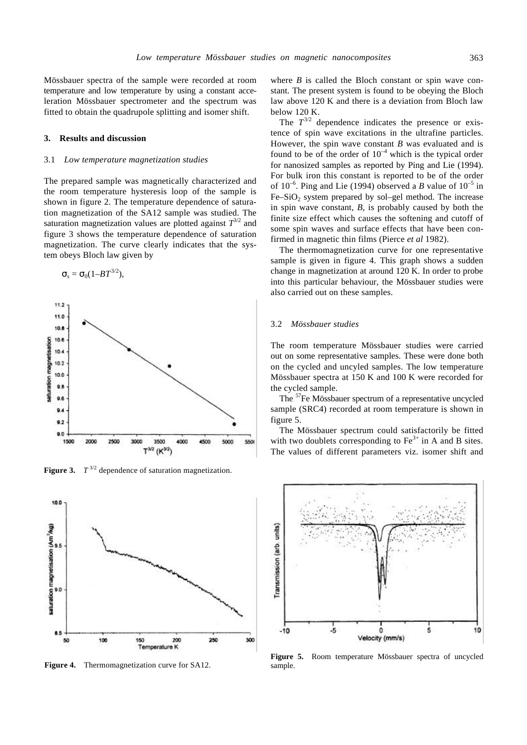Mössbauer spectra of the sample were recorded at room temperature and low temperature by using a constant acceleration Mössbauer spectrometer and the spectrum was fitted to obtain the quadrupole splitting and isomer shift.

#### **3. Results and discussion**

## 3.1 *Low temperature magnetization studies*

The prepared sample was magnetically characterized and the room temperature hysteresis loop of the sample is shown in figure 2. The temperature dependence of saturation magnetization of the SA12 sample was studied. The saturation magnetization values are plotted against  $T^{3/2}$  and figure 3 shows the temperature dependence of saturation magnetization. The curve clearly indicates that the system obeys Bloch law given by

$$
\mathbf{S}_s = \mathbf{S}_0(1-BT^{3/2}),
$$



**Figure 3.**  $T^{3/2}$  dependence of saturation magnetization.



**Figure 4.** Thermomagnetization curve for SA12.

where *B* is called the Bloch constant or spin wave constant. The present system is found to be obeying the Bloch law above 120 K and there is a deviation from Bloch law below 120 K.

The  $T^{3/2}$  dependence indicates the presence or existence of spin wave excitations in the ultrafine particles. However, the spin wave constant *B* was evaluated and is found to be of the order of  $10^{-4}$  which is the typical order for nanosized samples as reported by Ping and Lie (1994). For bulk iron this constant is reported to be of the order of  $10^{-6}$ . Ping and Lie (1994) observed a *B* value of  $10^{-5}$  in  $Fe-SiO<sub>2</sub>$  system prepared by sol–gel method. The increase in spin wave constant, *B*, is probably caused by both the finite size effect which causes the softening and cutoff of some spin waves and surface effects that have been confirmed in magnetic thin films (Pierce *et al* 1982).

The thermomagnetization curve for one representative sample is given in figure 4. This graph shows a sudden change in magnetization at around 120 K. In order to probe into this particular behaviour, the Mössbauer studies were also carried out on these samples.

#### 3.2 *Mössbauer studies*

The room temperature Mössbauer studies were carried out on some representative samples. These were done both on the cycled and uncyled samples. The low temperature Mössbauer spectra at 150 K and 100 K were recorded for the cycled sample.

The <sup>57</sup>Fe Mössbauer spectrum of a representative uncycled sample (SRC4) recorded at room temperature is shown in figure 5.

The Mössbauer spectrum could satisfactorily be fitted with two doublets corresponding to  $Fe<sup>3+</sup>$  in A and B sites. The values of different parameters viz. isomer shift and



**Figure 5.** Room temperature Mössbauer spectra of uncycled sample.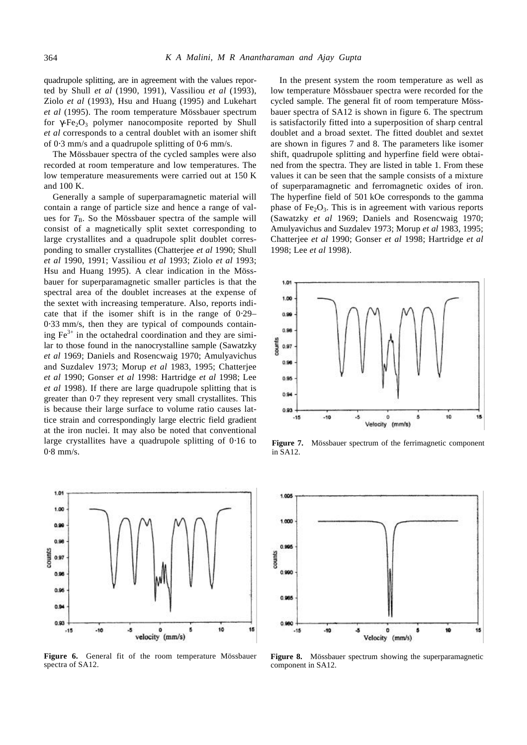quadrupole splitting, are in agreement with the values reported by Shull *et al* (1990, 1991), Vassiliou *et al* (1993), Ziolo *et al* (1993), Hsu and Huang (1995) and Lukehart *et al* (1995). The room temperature Mössbauer spectrum for  $gF_1F_2O_3$  polymer nanocomposite reported by Shull *et al* corresponds to a central doublet with an isomer shift of 0⋅3 mm/s and a quadrupole splitting of 0⋅6 mm/s.

The Mössbauer spectra of the cycled samples were also recorded at room temperature and low temperatures. The low temperature measurements were carried out at 150 K and 100 K.

Generally a sample of superparamagnetic material will contain a range of particle size and hence a range of values for  $T_B$ . So the Mössbauer spectra of the sample will consist of a magnetically split sextet corresponding to large crystallites and a quadrupole split doublet corresponding to smaller crystallites (Chatterjee *et al* 1990; Shull *et al* 1990, 1991; Vassiliou *et al* 1993; Ziolo *et al* 1993; Hsu and Huang 1995). A clear indication in the Mössbauer for superparamagnetic smaller particles is that the spectral area of the doublet increases at the expense of the sextet with increasing temperature. Also, reports indicate that if the isomer shift is in the range of 0⋅29– 0⋅33 mm/s, then they are typical of compounds containing  $Fe<sup>3+</sup>$  in the octahedral coordination and they are similar to those found in the nanocrystalline sample (Sawatzky *et al* 1969; Daniels and Rosencwaig 1970; Amulyavichus and Suzdalev 1973; Morup *et al* 1983, 1995; Chatterjee *et al* 1990; Gonser *et al* 1998: Hartridge *et al* 1998; Lee *et al* 1998). If there are large quadrupole splitting that is greater than  $0.7$  they represent very small crystallites. This is because their large surface to volume ratio causes lattice strain and correspondingly large electric field gradient at the iron nuclei. It may also be noted that conventional large crystallites have a quadrupole splitting of 0⋅16 to 0⋅8 mm/s.



**Figure 6.** General fit of the room temperature Mössbauer spectra of SA12.

In the present system the room temperature as well as low temperature Mössbauer spectra were recorded for the cycled sample. The general fit of room temperature Mössbauer spectra of SA12 is shown in figure 6. The spectrum is satisfactorily fitted into a superposition of sharp central doublet and a broad sextet. The fitted doublet and sextet are shown in figures 7 and 8. The parameters like isomer shift, quadrupole splitting and hyperfine field were obtained from the spectra. They are listed in table 1. From these values it can be seen that the sample consists of a mixture of superparamagnetic and ferromagnetic oxides of iron. The hyperfine field of 501 kOe corresponds to the gamma phase of  $Fe<sub>2</sub>O<sub>3</sub>$ . This is in agreement with various reports (Sawatzky *et al* 1969; Daniels and Rosencwaig 1970; Amulyavichus and Suzdalev 1973; Morup *et al* 1983, 1995; Chatterjee *et al* 1990; Gonser *et al* 1998; Hartridge *et al* 1998; Lee *et al* 1998).



**Figure 7.** Mössbauer spectrum of the ferrimagnetic component in SA12.



**Figure 8.** Mössbauer spectrum showing the superparamagnetic component in SA12.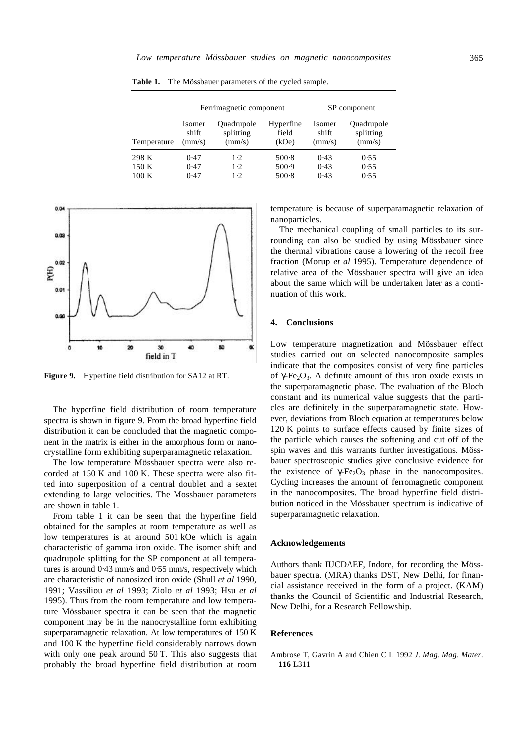|             | Ferrimagnetic component |            |           | SP component |            |
|-------------|-------------------------|------------|-----------|--------------|------------|
| Temperature | Isomer                  | Quadrupole | Hyperfine | Isomer       | Quadrupole |
|             | shift                   | splitting  | field     | shift        | splitting  |
|             | (mm/s)                  | (mm/s)     | (kOe)     | (mm/s)       | (mm/s)     |
| 298 K       | 0.47                    | 1.2.       | 500.8     | 0.43         | 0.55       |
| 150 K       | 0.47                    | 1.2.       | 500.9     | 0.43         | 0.55       |
| 100K        | 0.47                    | 1.2.       | $500-8$   | 0.43         | 0.55       |

**Table 1.** The Mössbauer parameters of the cycled sample.



**Figure 9.** Hyperfine field distribution for SA12 at RT.

The hyperfine field distribution of room temperature spectra is shown in figure 9. From the broad hyperfine field distribution it can be concluded that the magnetic component in the matrix is either in the amorphous form or nanocrystalline form exhibiting superparamagnetic relaxation.

The low temperature Mössbauer spectra were also recorded at 150 K and 100 K. These spectra were also fitted into superposition of a central doublet and a sextet extending to large velocities. The Mossbauer parameters are shown in table 1.

From table 1 it can be seen that the hyperfine field obtained for the samples at room temperature as well as low temperatures is at around 501 kOe which is again characteristic of gamma iron oxide. The isomer shift and quadrupole splitting for the SP component at all temperatures is around 0⋅43 mm/s and 0⋅55 mm/s, respectively which are characteristic of nanosized iron oxide (Shull *et al* 1990, 1991; Vassiliou *et al* 1993; Ziolo *et al* 1993; Hsu *et al* 1995). Thus from the room temperature and low temperature Mössbauer spectra it can be seen that the magnetic component may be in the nanocrystalline form exhibiting superparamagnetic relaxation. At low temperatures of 150 K and 100 K the hyperfine field considerably narrows down with only one peak around 50 T. This also suggests that probably the broad hyperfine field distribution at room temperature is because of superparamagnetic relaxation of nanoparticles.

The mechanical coupling of small particles to its surrounding can also be studied by using Mössbauer since the thermal vibrations cause a lowering of the recoil free fraction (Morup *et al* 1995). Temperature dependence of relative area of the Mössbauer spectra will give an idea about the same which will be undertaken later as a continuation of this work.

### **4. Conclusions**

Low temperature magnetization and Mössbauer effect studies carried out on selected nanocomposite samples indicate that the composites consist of very fine particles of  $gF\epsilon_2O_3$ . A definite amount of this iron oxide exists in the superparamagnetic phase. The evaluation of the Bloch constant and its numerical value suggests that the particles are definitely in the superparamagnetic state. However, deviations from Bloch equation at temperatures below 120 K points to surface effects caused by finite sizes of the particle which causes the softening and cut off of the spin waves and this warrants further investigations. Mössbauer spectroscopic studies give conclusive evidence for the existence of  $\mathbf{g}F_{\mathbf{e}_2}\mathbf{O}_3$  phase in the nanocomposites. Cycling increases the amount of ferromagnetic component in the nanocomposites. The broad hyperfine field distribution noticed in the Mössbauer spectrum is indicative of superparamagnetic relaxation.

#### **Acknowledgements**

Authors thank IUCDAEF, Indore, for recording the Mössbauer spectra. (MRA) thanks DST, New Delhi, for financial assistance received in the form of a project. (KAM) thanks the Council of Scientific and Industrial Research, New Delhi, for a Research Fellowship.

# **References**

Ambrose T, Gavrin A and Chien C L 1992 *J*. *Mag*. *Mag*. *Mater*. **116** L311